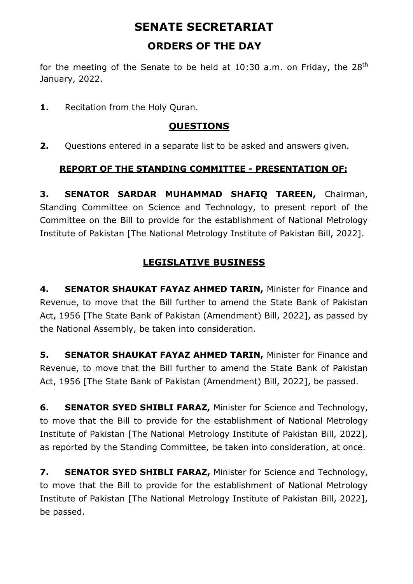# **SENATE SECRETARIAT ORDERS OF THE DAY**

for the meeting of the Senate to be held at 10:30 a.m. on Friday, the  $28<sup>th</sup>$ January, 2022.

1. Recitation from the Holy Quran.

# **QUESTIONS**

**2.** Questions entered in a separate list to be asked and answers given.

### **REPORT OF THE STANDING COMMITTEE - PRESENTATION OF:**

**3. SENATOR SARDAR MUHAMMAD SHAFIQ TAREEN,** Chairman, Standing Committee on Science and Technology, to present report of the Committee on the Bill to provide for the establishment of National Metrology Institute of Pakistan [The National Metrology Institute of Pakistan Bill, 2022].

# **LEGISLATIVE BUSINESS**

**4. SENATOR SHAUKAT FAYAZ AHMED TARIN,** Minister for Finance and Revenue, to move that the Bill further to amend the State Bank of Pakistan Act, 1956 [The State Bank of Pakistan (Amendment) Bill, 2022], as passed by the National Assembly, be taken into consideration.

**5. SENATOR SHAUKAT FAYAZ AHMED TARIN,** Minister for Finance and Revenue, to move that the Bill further to amend the State Bank of Pakistan Act, 1956 [The State Bank of Pakistan (Amendment) Bill, 2022], be passed.

**6. SENATOR SYED SHIBLI FARAZ,** Minister for Science and Technology, to move that the Bill to provide for the establishment of National Metrology Institute of Pakistan [The National Metrology Institute of Pakistan Bill, 2022], as reported by the Standing Committee, be taken into consideration, at once.

**7. SENATOR SYED SHIBLI FARAZ,** Minister for Science and Technology, to move that the Bill to provide for the establishment of National Metrology Institute of Pakistan [The National Metrology Institute of Pakistan Bill, 2022], be passed.